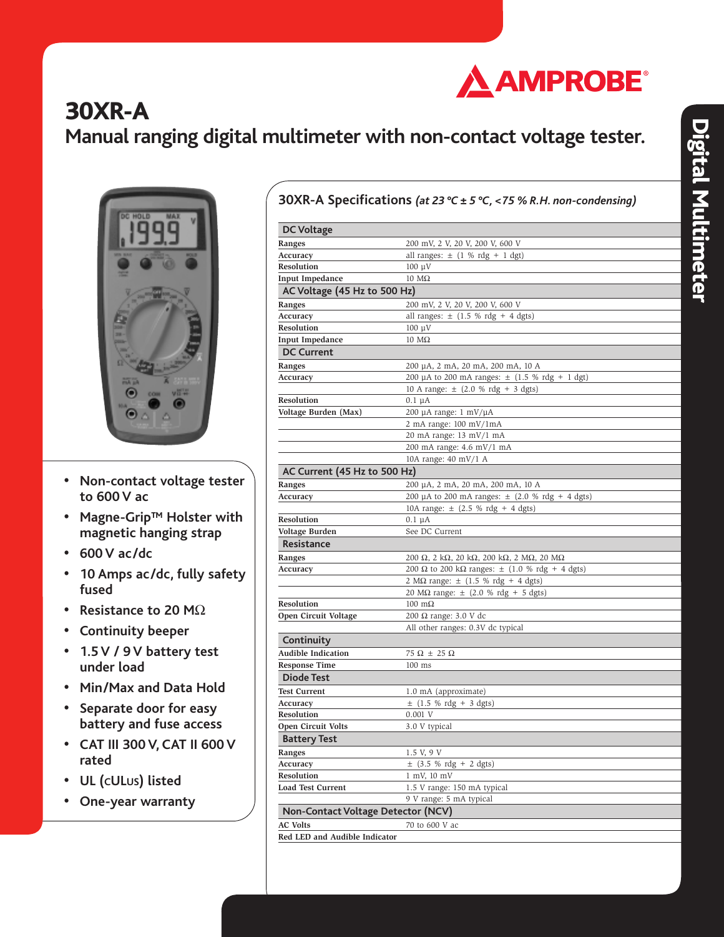

# **30XR-A**

## **Manual ranging digital multimeter with non-contact voltage tester.**



- **• Non-contact voltage tester to 600 V ac**
- **• Magne-Grip**™ **Holster with magnetic hanging strap**
- **• 600 V ac/dc**
- **• 10 Amps ac/dc, fully safety fused**
- **• Resistance to 20 M**Ω
- **• Continuity beeper**
- **• 1.5 V / 9 V battery test under load**
- **• Min/Max and Data Hold**
- **• Separate door for easy battery and fuse access**
- **• CAT III 300 V, CAT II 600 V rated**
- **• UL (CULUS) listed**
- **• One-year warranty**

|  | 30XR-A Specifications (at 23 °C ± 5 °C, <75 % R.H. non-condensing) |  |
|--|--------------------------------------------------------------------|--|
|--|--------------------------------------------------------------------|--|

| <b>DC Voltage</b>                         |                                                      |
|-------------------------------------------|------------------------------------------------------|
| Ranges                                    | 200 mV, 2 V, 20 V, 200 V, 600 V                      |
| Accuracy                                  | all ranges: $\pm$ (1 % rdg + 1 dgt)                  |
| Resolution                                | $100 \mu V$                                          |
| <b>Input Impedance</b>                    | $10 \text{ M}\Omega$                                 |
| AC Voltage (45 Hz to 500 Hz)              |                                                      |
| Ranges                                    | 200 mV, 2 V, 20 V, 200 V, 600 V                      |
| Accuracy                                  | all ranges: $\pm$ (1.5 % rdg + 4 dgts)               |
| <b>Resolution</b>                         | $100 \mu V$                                          |
| <b>Input Impedance</b>                    | $10 \text{ M}\Omega$                                 |
| <b>DC Current</b>                         |                                                      |
| Ranges                                    | 200 µA, 2 mA, 20 mA, 200 mA, 10 A                    |
| Accuracy                                  | 200 µA to 200 mA ranges: $\pm$ (1.5 % rdg + 1 dgt)   |
|                                           | 10 A range: $\pm$ (2.0 % rdg + 3 dgts)               |
| <b>Resolution</b>                         | $0.1 \mu A$                                          |
| Voltage Burden (Max)                      | 200 µA range: 1 mV/µA                                |
|                                           | $2 \text{ mA range: } 100 \text{ mV} / 1 \text{ mA}$ |
|                                           | 20 mA range: 13 mV/1 mA                              |
|                                           | 200 mA range: 4.6 mV/1 mA                            |
|                                           | 10A range: 40 mV/1 A                                 |
| AC Current (45 Hz to 500 Hz)              |                                                      |
| Ranges                                    | 200 µA, 2 mA, 20 mA, 200 mA, 10 A                    |
| Accuracy                                  | 200 µA to 200 mA ranges: $\pm$ (2.0 % rdg + 4 dgts)  |
|                                           | 10A range: $\pm$ (2.5 % rdg + 4 dgts)                |
| <b>Resolution</b>                         | $0.1 \mu A$                                          |
| Voltage Burden                            | See DC Current                                       |
| Resistance                                |                                                      |
| Ranges                                    | 200 Ω, 2 kΩ, 20 kΩ, 200 kΩ, 2 MΩ, 20 MΩ              |
| Accuracy                                  | 200 Ω to 200 kΩ ranges: $\pm$ (1.0 % rdg + 4 dgts)   |
|                                           | $2 M\Omega$ range: $\pm$ (1.5 % rdg + 4 dgts)        |
|                                           | 20 MΩ range: $\pm$ (2.0 % rdg + 5 dgts)              |
| <b>Resolution</b>                         | $100 \text{ m}\Omega$                                |
| Open Circuit Voltage                      | 200 Ω range: 3.0 V dc                                |
|                                           | All other ranges: 0.3V dc typical                    |
| Continuity                                |                                                      |
| <b>Audible Indication</b>                 | $75 \Omega \pm 25 \Omega$                            |
| <b>Response Time</b>                      | $100$ ms                                             |
| Diode Test                                |                                                      |
| <b>Test Current</b>                       | 1.0 mA (approximate)                                 |
| Accuracy                                  | $\pm$ (1.5 % rdg + 3 dgts)                           |
| Resolution                                | 0.001 V                                              |
| Open Circuit Volts                        | 3.0 V typical                                        |
| <b>Battery Test</b>                       |                                                      |
| Ranges                                    | 1.5 V, 9 V                                           |
| Accuracy                                  | $\pm$ (3.5 % rdg + 2 dgts)                           |
| <b>Resolution</b>                         | 1 mV, 10 mV                                          |
| <b>Load Test Current</b>                  | 1.5 V range: 150 mA typical                          |
|                                           | 9 V range: 5 mA typical                              |
| <b>Non-Contact Voltage Detector (NCV)</b> |                                                      |
| <b>AC Volts</b>                           | 70 to 600 V ac                                       |
| Red LED and Audible Indicator             |                                                      |